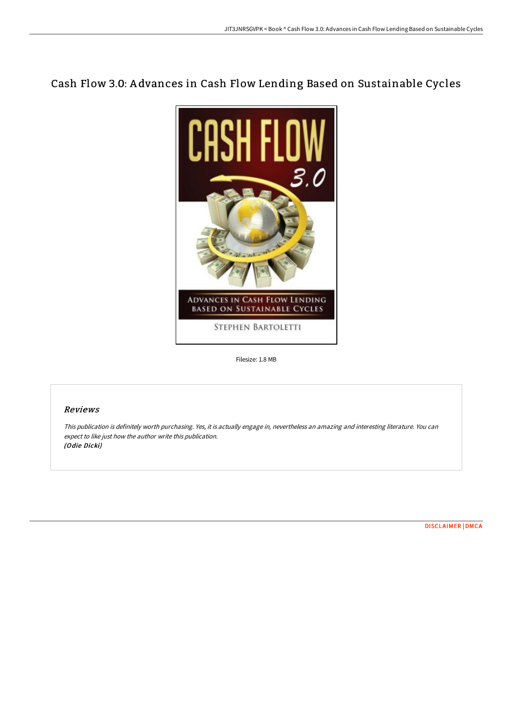# Cash Flow 3.0: A dvances in Cash Flow Lending Based on Sustainable Cycles



Filesize: 1.8 MB

## Reviews

This publication is definitely worth purchasing. Yes, it is actually engage in, nevertheless an amazing and interesting literature. You can expect to like just how the author write this publication. (Odie Dicki)

[DISCLAIMER](http://www.bookdirs.com/disclaimer.html) | [DMCA](http://www.bookdirs.com/dmca.html)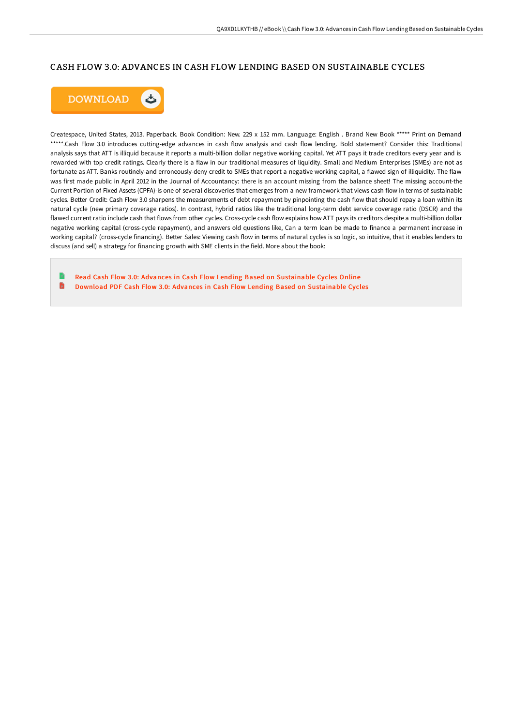## CASH FLOW 3.0: ADVANCES IN CASH FLOW LENDING BASED ON SUSTAINABLE CYCLES



Createspace, United States, 2013. Paperback. Book Condition: New. 229 x 152 mm. Language: English . Brand New Book \*\*\*\*\* Print on Demand \*\*\*\*\*.Cash Flow 3.0 introduces cutting-edge advances in cash flow analysis and cash flow lending. Bold statement? Consider this: Traditional analysis says that ATT is illiquid because it reports a multi-billion dollar negative working capital. Yet ATT pays it trade creditors every year and is rewarded with top credit ratings. Clearly there is a flaw in our traditional measures of liquidity. Small and Medium Enterprises (SMEs) are not as fortunate as ATT. Banks routinely-and erroneously-deny credit to SMEs that report a negative working capital, a flawed sign of illiquidity. The flaw was first made public in April 2012 in the Journal of Accountancy: there is an account missing from the balance sheet! The missing account-the Current Portion of Fixed Assets (CPFA)-is one of several discoveries that emerges from a new framework that views cash flow in terms of sustainable cycles. Better Credit: Cash Flow 3.0 sharpens the measurements of debt repayment by pinpointing the cash flow that should repay a loan within its natural cycle (new primary coverage ratios). In contrast, hybrid ratios like the traditional long-term debt service coverage ratio (DSCR) and the flawed current ratio include cash that flows from other cycles. Cross-cycle cash flow explains how ATT pays its creditors despite a multi-billion dollar negative working capital (cross-cycle repayment), and answers old questions like, Can a term loan be made to finance a permanent increase in working capital? (cross-cycle financing). Better Sales: Viewing cash flow in terms of natural cycles is so logic, so intuitive, that it enables lenders to discuss (and sell) a strategy for financing growth with SME clients in the field. More about the book:

Read Cash Flow 3.0: Advances in Cash Flow Lending Based on [Sustainable](http://www.bookdirs.com/cash-flow-3-0-advances-in-cash-flow-lending-base.html) Cycles Online  $\blacksquare$ Download PDF Cash Flow 3.0: Advances in Cash Flow Lending Based on [Sustainable](http://www.bookdirs.com/cash-flow-3-0-advances-in-cash-flow-lending-base.html) Cycles